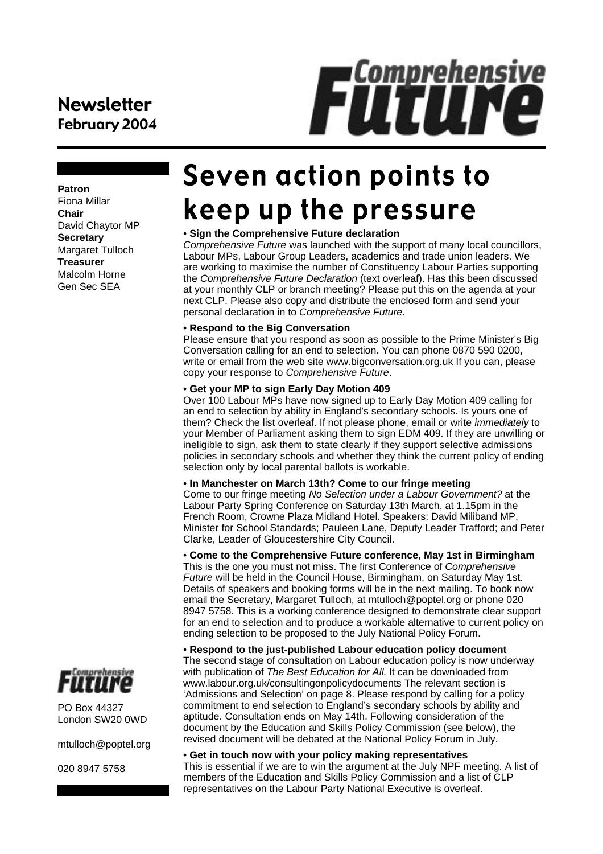## Newsletter February 2004

# **FUTUINE**

#### **Patron**

Fiona Millar **Chair** David Chaytor MP **Secretary** Margaret Tulloch **Treasurer** Malcolm Horne Gen Sec SEA

# Seven action points to keep up the pressure

#### • **Sign the Comprehensive Future declaration**

*Comprehensive Future* was launched with the support of many local councillors, Labour MPs, Labour Group Leaders, academics and trade union leaders. We are working to maximise the number of Constituency Labour Parties supporting the *Comprehensive Future Declaration* (text overleaf). Has this been discussed at your monthly CLP or branch meeting? Please put this on the agenda at your next CLP. Please also copy and distribute the enclosed form and send your personal declaration in to *Comprehensive Future*.

#### • **Respond to the Big Conversation**

Please ensure that you respond as soon as possible to the Prime Minister's Big Conversation calling for an end to selection. You can phone 0870 590 0200, write or email from the web site www.bigconversation.org.uk If you can, please copy your response to *Comprehensive Future*.

#### • **Get your MP to sign Early Day Motion 409**

Over 100 Labour MPs have now signed up to Early Day Motion 409 calling for an end to selection by ability in England's secondary schools. Is yours one of them? Check the list overleaf. If not please phone, email or write *immediately* to your Member of Parliament asking them to sign EDM 409. If they are unwilling or ineligible to sign, ask them to state clearly if they support selective admissions policies in secondary schools and whether they think the current policy of ending selection only by local parental ballots is workable.

#### • **In Manchester on March 13th? Come to our fringe meeting**

Come to our fringe meeting *No Selection under a Labour Government?* at the Labour Party Spring Conference on Saturday 13th March, at 1.15pm in the French Room, Crowne Plaza Midland Hotel. Speakers: David Miliband MP, Minister for School Standards; Pauleen Lane, Deputy Leader Trafford; and Peter Clarke, Leader of Gloucestershire City Council.

• **Come to the Comprehensive Future conference, May 1st in Birmingham** This is the one you must not miss. The first Conference of *Comprehensive Future* will be held in the Council House, Birmingham, on Saturday May 1st. Details of speakers and booking forms will be in the next mailing. To book now email the Secretary, Margaret Tulloch, at mtulloch@poptel.org or phone 020 8947 5758. This is a working conference designed to demonstrate clear support for an end to selection and to produce a workable alternative to current policy on ending selection to be proposed to the July National Policy Forum.

• **Respond to the just-published Labour education policy document** The second stage of consultation on Labour education policy is now underway with publication of *The Best Education for All*. It can be downloaded from www.labour.org.uk/consultingonpolicydocuments The relevant section is 'Admissions and Selection' on page 8. Please respond by calling for a policy commitment to end selection to England's secondary schools by ability and aptitude. Consultation ends on May 14th. Following consideration of the document by the Education and Skills Policy Commission (see below), the revised document will be debated at the National Policy Forum in July.

#### • **Get in touch now with your policy making representatives** This is essential if we are to win the argument at the July NPF meeting. A list of members of the Education and Skills Policy Commission and a list of CLP representatives on the Labour Party National Executive is overleaf.



PO Box 44327 London SW20 0WD

mtulloch@poptel.org

020 8947 5758